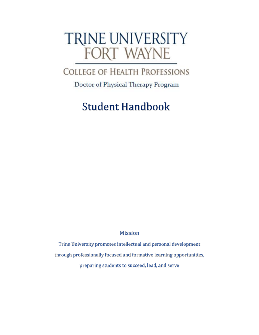# TRINE UNIVERSITY FORT WAYNE

# **COLLEGE OF HEALTH PROFESSIONS**

Doctor of Physical Therapy Program

# Student Handbook

Mission

Trine University promotes intellectual and personal development through professionally focused and formative learning opportunities, preparing students to succeed, lead, and serve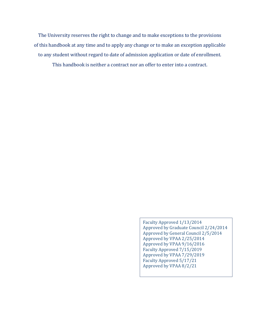The University reserves the right to change and to make exceptions to the provisions of this handbook at any time and to apply any change or to make an exception applicable to any student without regard to date of admission application or date of enrollment. This handbook is neither a contract nor an offer to enter into a contract.

> Faculty Approved 1/13/2014 Approved by Graduate Council 2/24/2014 Approved by General Council 2/5/2014 Approved by VPAA 2/25/2014 Approved by VPAA 9/16/2016 Faculty Approved 7/15/2019 Approved by VPAA 7/29/2019 Faculty Approved 5/17/21 Approved by VPAA 8/2/21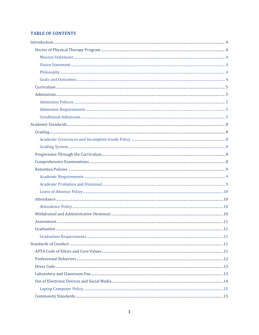### **TABLE OF CONTENTS**

| $\label{eq:atte} \text{Attendance} \tiny \begin{minipage}{0.5\textwidth} \centering \label{fig:atce} \end{minipage}$ |    |
|----------------------------------------------------------------------------------------------------------------------|----|
|                                                                                                                      |    |
|                                                                                                                      |    |
|                                                                                                                      |    |
|                                                                                                                      | 11 |
|                                                                                                                      |    |
|                                                                                                                      |    |
|                                                                                                                      |    |
|                                                                                                                      |    |
|                                                                                                                      |    |
|                                                                                                                      |    |
|                                                                                                                      |    |
|                                                                                                                      |    |
|                                                                                                                      |    |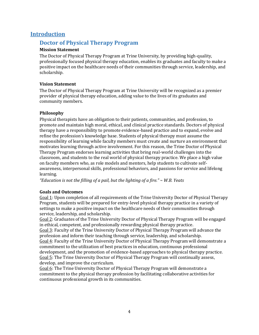### <span id="page-5-1"></span><span id="page-5-0"></span>**Introduction**

### **Doctor of Physical Therapy Program**

### <span id="page-5-2"></span>**Mission Statement**

The Doctor of Physical Therapy Program at Trine University, by providing high-quality, professionally focused physical therapy education, enables its graduates and faculty to make a positive impact on the healthcare needs of their communities through service, leadership, and scholarship.

### <span id="page-5-3"></span>**Vision Statement**

The Doctor of Physical Therapy Program at Trine University will be recognized as a premier provider of physical therapy education, adding value to the lives of its graduates and community members.

### <span id="page-5-4"></span>**Philosophy**

Physical therapists have an obligation to their patients, communities, and profession, to promote and maintain high moral, ethical, and clinical practice standards. Doctors of physical therapy have a responsibility to promote evidence-based practice and to expand, evolve and refine the profession's knowledge base. Students of physical therapy must assume the responsibility of learning while faculty members must create and nurture an environment that motivates learning through active involvement. For this reason, the Trine Doctor of Physical Therapy Program endorses learning activities that bring real-world challenges into the classroom, and students to the real world of physical therapy practice. We place a high value on faculty members who, as role models and mentors, help students to cultivate selfawareness, interpersonal skills, professional behaviors, and passions for service and lifelong learning.

*"Education is not the filling of a pail, but the lighting of a fire." ~ W.B. Yeats*

### <span id="page-5-5"></span>**Goals and Outcomes**

Goal 1: Upon completion of all requirements of the Trine University Doctor of Physical Therapy Program, students will be prepared for entry-level physical therapy practice in a variety of settings to make a positive impact on the healthcare needs of their communities through service, leadership, and scholarship.

Goal 2: Graduates of the Trine University Doctor of Physical Therapy Program will be engaged in ethical, competent, and professionally rewarding physical therapy practice.

Goal 3: Faculty of the Trine University Doctor of Physical Therapy Program will advance the profession and inform their teaching through service, leadership, and scholarship. Goal 4: Faculty of the Trine University Doctor of Physical Therapy Program will demonstrate a commitment to the utilization of best practices in education, continuous professional development, and the promotion of evidence-based approaches to physical therapy practice. Goal 5: The Trine University Doctor of Physical Therapy Program will continually assess, develop, and improve the curriculum.

Goal 6: The Trine University Doctor of Physical Therapy Program will demonstrate a commitment to the physical therapy profession by facilitating collaborative activities for continuous professional growth in its communities.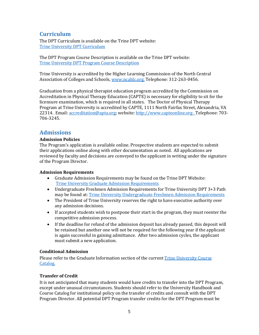# <span id="page-6-0"></span>**Curriculum**

The DPT Curriculum is available on the Trine DPT website: [Trine University DPT Curriculum](https://www.trine.edu/academics/majors-degrees/graduate/doctor-physical-therapy/courses.aspx)

The DPT Program Course Description is available on the Trine DPT website: [Trine University DPT Program Course Description](https://www.trine.edu/academics/majors-degrees/graduate/doctor-physical-therapy/documents/dpt-course-descriptions.pdf)

Trine University is accredited by the Higher Learning Commission of the North Central Association of Colleges and Schools[, www.ncahlc.org.](http://www.ncahigherlearningcommission.org/) Telephone: 312-263-0456.

Graduation from a physical therapist education program accredited by the Commission on Accreditation in Physical Therapy Education (CAPTE) is necessary for eligibility to sit for the licensure examination, which is required in all states. The Doctor of Physical Therapy Program at Trine University is accredited by CAPTE, 1111 North Fairfax Street, Alexandria, VA 22314. Email[: accreditation@apta.org;](mailto:accreditation@apta.org) website: [http://www.capteonline.org](http://www.capteonline.org/) . Telephone: 703- 706-3245.

# <span id="page-6-1"></span>**Admissions**

### <span id="page-6-2"></span>**Admission Policies**

The Program's application is available online. Prospective students are expected to submit their applications online along with other documentation as noted. All applications are reviewed by faculty and decisions are conveyed to the applicant in writing under the signature of the Program Director.

### <span id="page-6-3"></span>**Admission Requirements**

- Graduate Admission Requirements may be found on the Trine DPT Website: [Trine University Graduate Admission Requirements](https://www.trine.edu/academics/majors-degrees/graduate/doctor-physical-therapy/admission-requirements.aspx)
- Undergraduate Freshmen Admission Requirements for Trine University DPT 3+3 Path may be found at: [Trine University Undergraduate Freshmen Admission Requirements](https://www.trine.edu/academics/majors-degrees/undergraduate/pre-physical-therapy-professional-track/direct-entry.aspx)
- The President of Trine University reserves the right to have executive authority over any admission decisions.
- If accepted students wish to postpone their start in the program, they must reenter the competitive admission process.
- If the deadline for refund of the admission deposit has already passed, this deposit will be retained but another one will not be required for the following year if the applicant is again successful in gaining admittance. After two admission cycles, the applicant must submit a new application.

### <span id="page-6-4"></span>**Conditional Admission**

Please refer to the Graduate Information section of the current [Trine University Course](https://trine.edu/resources/registrar/course-catalog.aspx)  [Catalog.](https://trine.edu/resources/registrar/course-catalog.aspx)

### **Transfer of Credit**

It is not anticipated that many students would have credits to transfer into the DPT Program, except under unusual circumstances. Students should refer to the University Handbook and Course Catalog for institutional policy on the transfer of credits and consult with the DPT Program Director. All potential DPT Program transfer credits for the DPT Program must be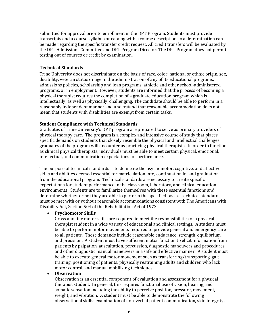submitted for approval prior to enrollment in the DPT Program. Students must provide transcripts and a course syllabus or catalog with a course description so a determination can be made regarding the specific transfer credit request. All credit transfers will be evaluated by the DPT Admissions Committee and DPT Program Director. The DPT Program does not permit testing out of courses or credit by examination.

#### **Technical Standards**

Trine University does not discriminate on the basis of race, color, national or ethnic origin, sex, disability, veteran status or age in the administration of any of its educational programs, admissions policies, scholarship and loan programs, athletic and other school-administered programs, or in employment. However, students are informed that the process of becoming a physical therapist requires the completion of a graduate education program which is intellectually, as well as physically, challenging. The candidate should be able to perform in a reasonably independent manner and understand that reasonable accommodation does not mean that students with disabilities are exempt from certain tasks.

#### **Student Compliance with Technical Standards**

Graduates of Trine University's DPT program are prepared to serve as primary providers of physical therapy care. The program is a complex and intensive course of study that places specific demands on students that closely resemble the physical and intellectual challenges graduates of the program will encounter as practicing physical therapists. In order to function as clinical physical therapists, individuals must be able to meet certain physical, emotional, intellectual, and communication expectations for performance.

The purpose of technical standards is to delineate the psychomotor, cognitive, and affective skills and abilities deemed essential for matriculation into, continuation in, and graduation from the educational program. Technical standards are necessary to create specific expectations for student performance in the classroom, laboratory, and clinical education environments. Students are to familiarize themselves with these essential functions and determine whether or not they are able to perform the specified tasks. Technical standards must be met with or without reasonable accommodations consistent with The Americans with Disability Act, Section 504 of the Rehabilitation Act of 1973.

#### • **Psychomotor Skills**

Gross and fine motor skills are required to meet the responsibilities of a physical therapist student in a wide variety of educational and clinical settings. A student must be able to perform motor movements required to provide general and emergency care to all patients. These demands include reasonable endurance, strength, equilibrium, and precision. A student must have sufficient motor function to elicit information from patients by palpation, auscultation, percussion, diagnostic maneuvers and procedures, and other diagnostic manual maneuvers in a safe and effective manner. A student must be able to execute general motor movement such as transferring/transporting, gait training, positioning of patients, physically restraining adults and children who lack motor control, and manual mobilizing techniques.

#### • **Observation**

Observation is an essential component of evaluation and assessment for a physical therapist student. In general, this requires functional use of vision, hearing, and somatic sensation including the ability to perceive position, pressure, movement, weight, and vibration. A student must be able to demonstrate the following observational skills: examination of non-verbal patient communication, skin integrity,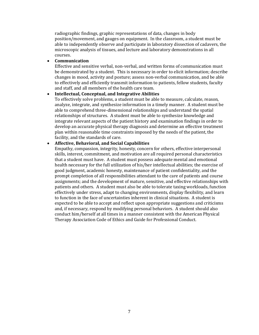radiographic findings, graphic representations of data, changes in body position/movement, and gauges on equipment. In the classroom, a student must be able to independently observe and participate in laboratory dissection of cadavers, the microscopic analysis of tissues, and lecture and laboratory demonstrations in all courses.

#### • **Communication**

Effective and sensitive verbal, non-verbal, and written forms of communication must be demonstrated by a student. This is necessary in order to elicit information; describe changes in mood, activity and posture; assess non-verbal communication, and be able to effectively and efficiently transmit information to patients, fellow students, faculty and staff, and all members of the health care team.

#### • **Intellectual, Conceptual, and Integrative Abilities**

To effectively solve problems, a student must be able to measure, calculate, reason, analyze, integrate, and synthesize information in a timely manner. A student must be able to comprehend three-dimensional relationships and understand the spatial relationships of structures. A student must be able to synthesize knowledge and integrate relevant aspects of the patient history and examination findings in order to develop an accurate physical therapy diagnosis and determine an effective treatment plan within reasonable time constraints imposed by the needs of the patient, the facility, and the standards of care.

### • **Affective, Behavioral, and Social Capabilities**

Empathy, compassion, integrity, honesty, concern for others, effective interpersonal skills, interest, commitment, and motivation are all required personal characteristics that a student must have. A student must possess adequate mental and emotional health necessary for the full utilization of his/her intellectual abilities; the exercise of good judgment, academic honesty, maintenance of patient confidentiality, and the prompt completion of all responsibilities attendant to the care of patients and course assignments; and the development of mature, sensitive, and effective relationships with patients and others. A student must also be able to tolerate taxing workloads, function effectively under stress, adapt to changing environments, display flexibility, and learn to function in the face of uncertainties inherent in clinical situations. A student is expected to be able to accept and reflect upon appropriate suggestions and criticisms and, if necessary, respond by modifying personal behaviors. A student should also conduct him/herself at all times in a manner consistent with the American Physical Therapy Association Code of Ethics and Guide for Professional Conduct.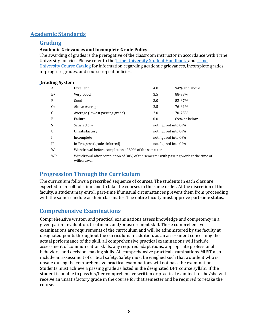# <span id="page-9-1"></span><span id="page-9-0"></span>**Academic Standards**

### **Grading**

### <span id="page-9-2"></span>**Academic Grievances and Incomplete Grade Policy**

The awarding of grades is the prerogative of the classroom instructor in accordance with Trine University policies. Please refer to the **Trine University Student Handbook** and Trine [University Course Catalog](https://trine.edu/resources/registrar/course-catalog.aspx) for information regarding academic grievances, incomplete grades, in-progress grades, and course repeat policies.

### <span id="page-9-3"></span>**Grading System**

| A            | Excellent                                                                                         | 4.0                  | 94% and above |  |
|--------------|---------------------------------------------------------------------------------------------------|----------------------|---------------|--|
| $B+$         | Very Good                                                                                         | 3.5                  | 88-93%        |  |
| B            | Good                                                                                              | 3.0                  | 82-87%        |  |
| $C+$         | Above Average                                                                                     | 2.5                  | 76-81%        |  |
| C            | Average (lowest passing grade)                                                                    | 2.0                  | 70-75%        |  |
| F            | Failure                                                                                           | 0.0                  | 69% or below  |  |
| S            | Satisfactory                                                                                      | not figured into GPA |               |  |
| $\mathbf{U}$ | Unsatisfactory                                                                                    | not figured into GPA |               |  |
| I            | Incomplete                                                                                        | not figured into GPA |               |  |
| IP           | In Progress (grade deferred)                                                                      | not figured into GPA |               |  |
| W            | Withdrawal before completion of 80% of the semester                                               |                      |               |  |
| <b>WP</b>    | Withdrawal after completion of 80% of the semester with passing work at the time of<br>withdrawal |                      |               |  |

# <span id="page-9-4"></span>**Progression Through the Curriculum**

The curriculum follows a prescribed sequence of courses. The students in each class are expected to enroll full-time and to take the courses in the same order. At the discretion of the faculty, a student may enroll part-time if unusual circumstances prevent them from proceeding with the same schedule as their classmates. The entire faculty must approve part-time status.

# <span id="page-9-5"></span>**Comprehensive Examinations**

Comprehensive written and practical examinations assess knowledge and competency in a given patient evaluation, treatment, and/or assessment skill. These comprehensive examinations are requirements of the curriculum and will be administered by the faculty at designated points throughout the curriculum. In addition, as an assessment concerning the actual performance of the skill, all comprehensive practical examinations will include assessment of communication skills, any required adaptations, appropriate professional behaviors, and decision-making skills. All comprehensive practical examinations MUST also include an assessment of critical safety. Safety must be weighed such that a student who is unsafe during the comprehensive practical examinations will not pass the examination. Students must achieve a passing grade as listed in the designated DPT course syllabi. If the student is unable to pass his/her comprehensive written or practical examination, he/she will receive an unsatisfactory grade in the course for that semester and be required to retake the course.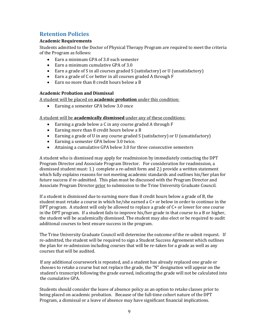# <span id="page-10-0"></span>**Retention Policies**

### <span id="page-10-1"></span>**Academic Requirements**

Students admitted to the Doctor of Physical Therapy Program are required to meet the criteria of the Program as follows:

- Earn a minimum GPA of 3.0 each semester
- Earn a minimum cumulative GPA of 3.0
- Earn a grade of S in all courses graded S (satisfactory) or U (unsatisfactory)
- Earn a grade of C or better in all courses graded A through F
- Earn no more than 8 credit hours below a B

### <span id="page-10-2"></span>**Academic Probation and Dismissal**

A student will be placed on **academic probation** under this condition:

• Earning a semester GPA below 3.0 once

A student will be **academically dismissed** under any of these conditions:

- Earning a grade below a C in any course graded A through F
- Earning more than 8 credit hours below a B
- Earning a grade of U in any course graded S (satisfactory) or U (unsatisfactory)
- Earning a semester GPA below 3.0 twice.
- Attaining a cumulative GPA below 3.0 for three consecutive semesters

A student who is dismissed may apply for readmission by immediately contacting the DPT Program Director and Associate Program Director. For consideration for readmission, a dismissed student must: 1.) complete a re-admit form and 2.) provide a written statement which fully explains reasons for not meeting academic standards and outlines his/her plan for future success if re-admitted. This plan must be discussed with the Program Director and Associate Program Director prior to submission to the Trine University Graduate Council.

If a student is dismissed due to earning more than 8 credit hours below a grade of B, the student must retake a course in which he/she earned a C+ or below in order to continue in the DPT program. A student will only be allowed to replace a grade of C+ or lower for one course in the DPT program. If a student fails to improve his/her grade in that course to a B or higher, the student will be academically dismissed. The student may also elect or be required to audit additional courses to best ensure success in the program.

The Trine University Graduate Council will determine the outcome of the re-admit request. If re-admitted, the student will be required to sign a Student Success Agreement which outlines the plan for re-admission including courses that will be re-taken for a grade as well as any courses that will be audited.

If any additional coursework is repeated, and a student has already replaced one grade or chooses to retake a course but not replace the grade, the "N" designation will appear on the student's transcript following the grade earned, indicating the grade will not be calculated into the cumulative GPA.

Students should consider the leave of absence policy as an option to retake classes prior to being placed on academic probation. Because of the full-time cohort nature of the DPT Program, a dismissal or a leave of absence may have significant financial implications.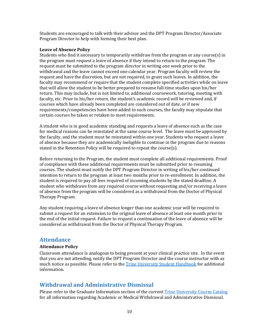Students are encouraged to talk with their advisor and the DPT Program Director/Associate Program Director to help with forming their best plan.

#### <span id="page-11-0"></span>**Leave of Absence Policy**

Students who find it necessary to temporarily withdraw from the program or any course(s) in the program must request a leave of absence if they intend to return to the program. The request must be submitted to the program director in writing one week prior to the withdrawal and the leave cannot exceed one calendar year. Program faculty will review the request and have the discretion, but are not required, to grant such leaves. In addition, the faculty may recommend or require that the student complete specified activities while on leave that will allow the student to be better prepared to resume full-time studies upon his/her return. This may include, but is not limited to, additional coursework, tutoring, meeting with faculty, etc. Prior to his/her return, the student's academic record will be reviewed and, if courses which have already been completed are considered out of date, or if new requirements/competencies have been added to such courses, the faculty may stipulate that certain courses be taken or retaken to meet requirements.

A student who is in good academic standing and requests a leave of absence such as the case for medical reasons can be reinstated at the same course level. The leave must be approved by the faculty, and the student must be reinstated within one year. Students who request a leave of absence because they are academically ineligible to continue in the program due to reasons stated in the Retention Policy will be required to repeat the course(s).

Before returning to the Program, the student must complete all additional requirements. Proof of compliance with these additional requirements must be submitted prior to resuming courses. The student must notify the DPT Program Director in writing of his/her continued intention to return to the program at least two months prior to re-enrollment. In addition, the student is required to pay all fees required of incoming students by the stated deadline. A student who withdraws from any required course without requesting and/or receiving a leave of absence from the program will be considered as a withdrawal from the Doctor of Physical Therapy Program.

Any student requiring a leave of absence longer than one academic year will be required to submit a request for an extension to the original leave of absence at least one month prior to the end of the initial request. Failure to request a continuation of the leave of absence will be considered as withdrawal from the Doctor of Physical Therapy Program.

### <span id="page-11-1"></span>**Attendance**

#### <span id="page-11-2"></span>**Attendance Policy**

Classroom attendance is analogous to being present at your clinical practice site. In the event that you are not attending, notify the DPT Program Director and the course instructor with as much notice as possible. Please refer to the [Trine University Student Handbook](https://www.trine.edu/campus-life/) for additional information.

### <span id="page-11-3"></span>**Withdrawal and Administrative Dismissal**

Please refer to the Graduate Information section of the current [Trine University Course Catalog](https://trine.edu/resources/registrar/course-catalog.aspx) for all information regarding Academic or Medical Withdrawal and Administrative Dismissal.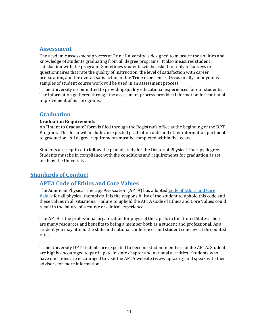### <span id="page-12-0"></span>**Assessment**

The academic assessment process at Trine University is designed to measure the abilities and knowledge of students graduating from all degree programs. It also measures student satisfaction with the program. Sometimes students will be asked to reply to surveys or questionnaires that rate the quality of instruction, the level of satisfaction with career preparation, and the overall satisfaction of the Trine experience. Occasionally, anonymous samples of student course work will be used in an assessment process.

Trine University is committed to providing quality educational experiences for our students. The information gathered through the assessment process provides information for continual improvement of our programs.

### <span id="page-12-1"></span>**Graduation**

### <span id="page-12-2"></span>**Graduation Requirements**

An "Intent to Graduate" form is filed through the Registrar's office at the beginning of the DPT Program. This form will include an expected graduation date and other information pertinent to graduation. All degree requirements must be completed within five years.

Students are required to follow the plan of study for the Doctor of Physical Therapy degree. Students must be in compliance with the conditions and requirements for graduation as set forth by the University.

# <span id="page-12-4"></span><span id="page-12-3"></span>**Standards of Conduct**

# **APTA Code of Ethics and Core Values**

The American Physical Therapy Association (APTA) has adopted [Code of Ethics and Core](https://www.apta.org/siteassets/pdfs/policies/code-of-ethics-pt.pdf)  [Values](https://www.apta.org/siteassets/pdfs/policies/code-of-ethics-pt.pdf) for all physical therapists. It is the responsibility of the student to uphold this code and these values in all situations. Failure to uphold the APTA Code of Ethics and Core Values could result in the failure of a course or clinical experience.

The APTA is the professional organization for physical therapists in the United States. There are many resources and benefits to being a member both as a student and professional. As a student you may attend the state and national conferences and student conclave at discounted rates.

Trine University DPT students are expected to become student members of the APTA. Students are highly encouraged to participate in state chapter and national activities. Students who have questions are encouraged to visit the APTA website (www.apta.org) and speak with their advisors for more information.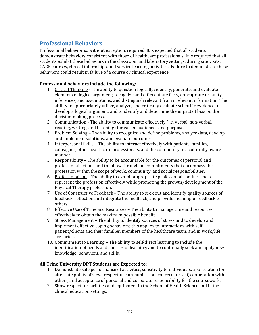# <span id="page-13-0"></span>**Professional Behaviors**

Professional behavior is, without exception, required. It is expected that all students demonstrate behaviors consistent with those of healthcare professionals. It is required that all students exhibit these behaviors in the classroom and laboratory settings, during site visits, CARE courses, clinical internships, and service learning activities. Failure to demonstrate these behaviors could result in failure of a course or clinical experience.

### **Professional behaviors include the following:**

- 1. Critical Thinking The ability to question logically; identify, generate, and evaluate elements of logical argument; recognize and differentiate facts, appropriate or faulty inferences, and assumptions; and distinguish relevant from irrelevant information. The ability to appropriately utilize, analyze, and critically evaluate scientific evidence to develop a logical argument, and to identify and determine the impact of bias on the decision-making process.
- 2. Communication The ability to communicate effectively (i.e. verbal, non-verbal, reading, writing, and listening) for varied audiences and purposes.
- 3. Problem Solving The ability to recognize and define problems, analyze data, develop and implement solutions, and evaluate outcomes.
- 4. Interpersonal Skills The ability to interact effectively with patients, families, colleagues, other health care professionals, and the community in a culturally aware manner.
- 5. Responsibility The ability to be accountable for the outcomes of personal and professional actions and to follow through on commitments that encompass the profession within the scope of work, community, and social responsibilities.
- 6. Professionalism The ability to exhibit appropriate professional conduct and to represent the profession effectively while promoting the growth/development of the Physical Therapy profession.
- 7. Use of Constructive Feedback The ability to seek out and identify quality sources of feedback, reflect on and integrate the feedback, and provide meaningful feedback to others.
- 8. Effective Use of Time and Resources The ability to manage time and resources effectively to obtain the maximum possible benefit.
- 9. Stress Management The ability to identify sources of stress and to develop and implement effective coping behaviors; this applies to interactions with self, patient/clients and their families, members of the healthcare team, and in work/life scenarios.
- 10. Commitment to Learning The ability to self-direct learning to include the identification of needs and sources of learning; and to continually seek and apply new knowledge, behaviors, and skills.

### **All Trine University DPT Students are Expected to:**

- 1. Demonstrate safe performance of activities, sensitivity to individuals, appreciation for alternate points of view, respectful communication, concern for self, cooperation with others, and acceptance of personal and corporate responsibility for the coursework.
- 2. Show respect for facilities and equipment in the School of Health Science and in the clinical education settings.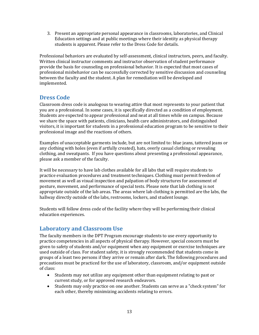3. Present an appropriate personal appearance in classrooms, laboratories, and Clinical Education settings and at public meetings where their identity as physical therapy students is apparent. Please refer to the Dress Code for details.

Professional behaviors are evaluated by self-assessment, clinical instructors, peers, and faculty. Written clinical instructor comments and instructor observation of student performance provide the basis for counseling on professional behavior. It is expected that most cases of professional misbehavior can be successfully corrected by sensitive discussion and counseling between the faculty and the student. A plan for remediation will be developed and implemented.

# <span id="page-14-0"></span>**Dress Code**

Classroom dress code is analogous to wearing attire that most represents to your patient that you are a professional. In some cases, it is specifically directed as a condition of employment. Students are expected to appear professional and neat at all times while on campus. Because we share the space with patients, clinicians, health care administrators, and distinguished visitors, it is important for students in a professional education program to be sensitive to their professional image and the reactions of others.

Examples of unacceptable garments include, but are not limited to: blue jeans, tattered jeans or any clothing with holes (even if artfully created), hats, overly casual clothing or revealing clothing, and sweatpants. If you have questions about presenting a professional appearance, please ask a member of the faculty.

It will be necessary to have lab clothes available for all labs that will require students to practice evaluation procedures and treatment techniques. Clothing must permit freedom of movement as well as visual inspection and palpation of body structures for assessment of posture, movement, and performance of special tests. Please note that lab clothing is not appropriate outside of the lab areas. The areas where lab clothing is permitted are the labs, the hallway directly outside of the labs, restrooms, lockers, and student lounge.

Students will follow dress code of the facility where they will be performing their clinical education experiences.

# <span id="page-14-1"></span>**Laboratory and Classroom Use**

The faculty members in the DPT Program encourage students to use every opportunity to practice competencies in all aspects of physical therapy. However, special concern must be given to safety of students and/or equipment when any equipment or exercise techniques are used outside of class. For student safety, it is strongly recommended that students come in groups of a least two persons if they arrive or remain after dark. The following procedures and precautions must be practiced for the use of laboratory, classroom, and/or equipment outside of class:

- Students may not utilize any equipment other than equipment relating to past or current study, or for approved research endeavors.
- Students may only practice on one another. Students can serve as a "check system" for each other, thereby minimizing accidents relating to errors.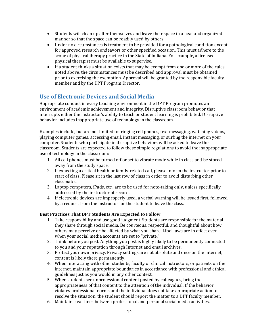- Students will clean up after themselves and leave their space in a neat and organized manner so that the space can be readily used by others.
- Under no circumstances is treatment to be provided for a pathological condition except for approved research endeavors or other specified occasion. This must adhere to the scope of physical therapy practice in the State of Indiana. For example, a licensed physical therapist must be available to supervise.
- If a student thinks a situation exists that may be exempt from one or more of the rules noted above, the circumstances must be described and approval must be obtained prior to exercising the exemption. Approval will be granted by the responsible faculty member and by the DPT Program Director.

# <span id="page-15-0"></span>**Use of Electronic Devices and Social Media**

Appropriate conduct in every teaching environment in the DPT Program promotes an environment of academic achievement and integrity. Disruptive classroom behavior that interrupts either the instructor's ability to teach or student learning is prohibited. Disruptive behavior includes inappropriate use of technology in the classroom.

Examples include, but are not limited to: ringing cell phones, text messaging, watching videos, playing computer games, accessing email, instant messaging, or surfing the internet on your computer. Students who participate in disruptive behaviors will be asked to leave the classroom. Students are expected to follow these simple regulations to avoid the inappropriate use of technology in the classroom:

- 1. All cell phones must be turned off or set to vibrate mode while in class and be stored away from the study space.
- 2. If expecting a critical health or family-related call, please inform the instructor prior to start of class. Please sit in the last row of class in order to avoid disturbing other classmates.
- 3. Laptop computers, iPads, etc., are to be used for note-taking only, unless specifically addressed by the instructor of record.
- 4. If electronic devices are improperly used, a verbal warning will be issued first, followed by a request from the instructor for the student to leave the class.

### **Best Practices That DPT Students Are Expected to Follow**

- 1. Take responsibility and use good judgment. Students are responsible for the material they share through social media. Be courteous, respectful, and thoughtful about how others may perceive or be affected by what you share. Libel laws are in effect even when your social media accounts are set to "private."
- 2. Think before you post. Anything you post is highly likely to be permanently connected to you and your reputation through Internet and email archives.
- 3. Protect your own privacy. Privacy settings are not absolute and once on the Internet, content is likely there permanently.
- 4. When interacting with other students, faculty or clinical instructors, or patients on the internet, maintain appropriate boundaries in accordance with professional and ethical guidelines just as you would in any other context.
- 5. When students see unprofessional content posted by colleagues, bring the appropriateness of that content to the attention of the individual. If the behavior violates professional norms and the individual does not take appropriate action to resolve the situation, the student should report the matter to a DPT faculty member.
- 6. Maintain clear lines between professional and personal social media activities.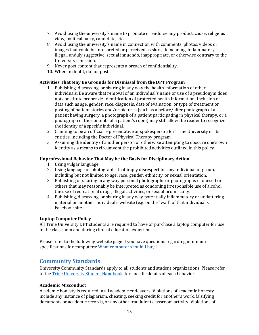- 7. Avoid using the university's name to promote or endorse any product, cause, religious view, political party, candidate, etc.
- 8. Avoid using the university's name in connection with comments, photos, videos or images that could be interpreted or perceived as slurs, demeaning, inflammatory, illegal, unduly suggestive, sexual innuendo, inappropriate, or otherwise contrary to the University's mission.
- 9. Never post content that represents a breach of confidentiality.
- 10. When in doubt, do not post.

### **Activities That May Be Grounds for Dismissal from the DPT Program**

- 1. Publishing, discussing, or sharing in any way the health information of other individuals. Be aware that removal of an individual's name or use of a pseudonym does not constitute proper de-identification of protected health information. Inclusion of data such as age, gender, race, diagnosis, date of evaluation, or type of treatment or posting of patient stories and/or pictures (such as a before/after photograph of a patient having surgery, a photograph of a patient participating in physical therapy, or a photograph of the contents of a patient's room) may still allow the reader to recognize the identity of a specific individual.
- 2. Claiming to be an official representative or spokesperson for Trine University or its entities, including the Doctor of Physical Therapy program.
- 3. Assuming the identity of another person or otherwise attempting to obscure one's own identity as a means to circumvent the prohibited activities outlined in this policy.

#### **Unprofessional Behavior That May be the Basis for Disciplinary Action**

- 1. Using vulgar language.
- 2. Using language or photographs that imply disrespect for any individual or group, including but not limited to age, race, gender, ethnicity, or sexual orientation.
- 3. Publishing or sharing in any way personal photographs or photographs of oneself or others that may reasonably be interpreted as condoning irresponsible use of alcohol, the use of recreational drugs, illegal activities, or sexual promiscuity.
- 4. Publishing, discussing, or sharing in any way potentially inflammatory or unflattering material on another individual's website (e.g. on the "wall" of that individual's Facebook site).

#### <span id="page-16-0"></span>**Laptop Computer Policy**

All Trine University DPT students are required to have or purchase a laptop computer for use in the classroom and during clinical education experiences.

Please refer to the following website page if you have questions regarding minimum specifications for computers: [What computer should I buy](https://services.trine.edu/support/solutions/articles/11000019836-what-computer-should-i-buy-) ?

### <span id="page-16-1"></span>**Community Standards**

University Community Standards apply to all students and student organizations. Please refer to the [Trine University Student Handbook](https://www.trine.edu/campus-life/) for specific details of each behavior.

#### <span id="page-16-2"></span>**Academic Misconduct**

Academic honesty is required in all academic endeavors. Violations of academic honesty include any instance of plagiarism, cheating, seeking credit for another's work, falsifying documents or academic records, or any other fraudulent classroom activity. Violations of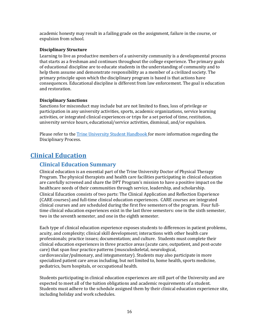academic honesty may result in a failing grade on the assignment, failure in the course, or expulsion from school.

#### <span id="page-17-0"></span>**Disciplinary Structure**

Learning to live as productive members of a university community is a developmental process that starts as a freshman and continues throughout the college experience. The primary goals of educational discipline are to educate students in the understanding of community and to help them assume and demonstrate responsibility as a member of a civilized society. The primary principle upon which the disciplinary program is based is that actions have consequences. Educational discipline is different from law enforcement. The goal is education and restoration.

### <span id="page-17-1"></span>**Disciplinary Sanctions**

Sanctions for misconduct may include but are not limited to fines, loss of privilege or participation in any university activities, sports, academic organizations, service learning activities, or integrated clinical experiences or trips for a set period of time, restitution, university service hours, educational/service activities, dismissal, and/or expulsion.

Please refer to the [Trine University Student Handbook](https://www.trine.edu/campus-life/) for more information regarding the Disciplinary Process.

# <span id="page-17-3"></span><span id="page-17-2"></span>**Clinical Education**

### **Clinical Education Summary**

Clinical education is an essential part of the Trine University Doctor of Physical Therapy Program. The physical therapists and health care facilities participating in clinical education are carefully screened and share the DPT Program's mission to have a positive impact on the healthcare needs of their communities through service, leadership, and scholarship.

Clinical Education consists of two parts: The Clinical Application and Reflection Experience (CARE courses) and full-time clinical education experiences. CARE courses are integrated clinical courses and are scheduled during the first five semesters of the program. Four fulltime clinical education experiences exist in the last three semesters: one in the sixth semester, two in the seventh semester, and one in the eighth semester.

Each type of clinical education experience exposes students to differences in patient problems, acuity, and complexity; clinical skill development; interactions with other health care professionals; practice issues; documentation; and culture. Students must complete their clinical education experiences in three practice areas (acute care, outpatient, and post-acute care) that span four practice patterns (musculoskeletal, neurological, cardiovascular/pulmonary, and integumentary). Students may also participate in more specialized patient care areas including, but not limited to, home health, sports medicine, pediatrics, burn hospitals, or occupational health.

Students participating in clinical education experiences are still part of the University and are expected to meet all of the tuition obligations and academic requirements of a student. Students must adhere to the schedule assigned them by their clinical education experience site, including holiday and work schedules.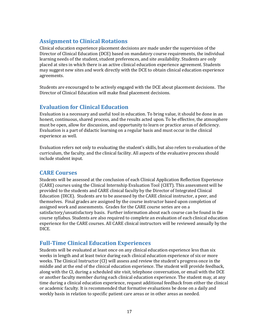# <span id="page-18-0"></span>**Assignment to Clinical Rotations**

Clinical education experience placement decisions are made under the supervision of the Director of Clinical Education (DCE) based on mandatory course requirements, the individual learning needs of the student, student preferences, and site availability. Students are only placed at sites in which there is an active clinical education experience agreement. Students may suggest new sites and work directly with the DCE to obtain clinical education experience agreements.

Students are encouraged to be actively engaged with the DCE about placement decisions. The Director of Clinical Education will make final placement decisions.

### <span id="page-18-1"></span>**Evaluation for Clinical Education**

Evaluation is a necessary and useful tool in education. To bring value, it should be done in an honest, continuous, shared process, and the results acted upon. To be effective, the atmosphere must be open, allow for discussion, and opportunity to learn or practice areas of deficiency. Evaluation is a part of didactic learning on a regular basis and must occur in the clinical experience as well.

Evaluation refers not only to evaluating the student's skills, but also refers to evaluation of the curriculum, the faculty, and the clinical facility. All aspects of the evaluative process should include student input.

### <span id="page-18-2"></span>**CARE Courses**

Students will be assessed at the conclusion of each Clinical Application Reflection Experience (CARE) courses using the Clinical Internship Evaluation Tool (CIET). This assessment will be provided to the students and CARE clinical faculty by the Director of Integrated Clinical Education (DICE). Students are to be assessed by the CARE clinical instructor, a peer, and themselves. Final grades are assigned by the course instructor based upon completion of assigned work and assessments. Grades for the CARE course series are on a satisfactory/unsatisfactory basis. Further information about each course can be found in the course syllabus. Students are also required to complete an evaluation of each clinical education experience for the CARE courses. All CARE clinical instructors will be reviewed annually by the DICE.

# <span id="page-18-3"></span>**Full-Time Clinical Education Experiences**

Students will be evaluated at least once on any clinical education experience less than six weeks in length and at least twice during each clinical education experience of six or more weeks. The Clinical Instructor (CI) will assess and review the student's progress once in the middle and at the end of the clinical education experience. The student will provide feedback, along with the CI, during a scheduled site visit, telephone conversation, or email with the DCE or another faculty member during each clinical education experience. The student may, at any time during a clinical education experience, request additional feedback from either the clinical or academic faculty. It is recommended that formative evaluations be done on a daily and weekly basis in relation to specific patient care areas or in other areas as needed.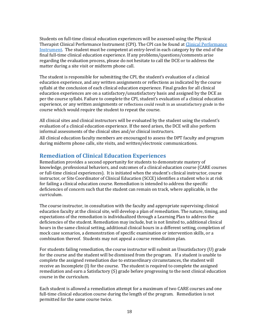Students on full-time clinical education experiences will be assessed using the Physical Therapist [Clinical Performance](https://nam04.safelinks.protection.outlook.com/?url=https%3A%2F%2Fcpi2.amsapps.com%2F&data=02%7C01%7Cencheffj%40trine.edu%7Cf2ca44e73b634ea68c8b08d816ae93cb%7C4fce493f17434d33bdec79e288863c19%7C0%7C0%7C637284286347156124&sdata=ICQvdbGN%2F41b8KZb1U1jycpRU86kquK1j1hNbY21Im8%3D&reserved=0) Instrument (CPI). The CPI can be found at Clinical Performance [Instrument.](https://nam04.safelinks.protection.outlook.com/?url=https%3A%2F%2Fcpi2.amsapps.com%2F&data=02%7C01%7Cencheffj%40trine.edu%7Cf2ca44e73b634ea68c8b08d816ae93cb%7C4fce493f17434d33bdec79e288863c19%7C0%7C0%7C637284286347156124&sdata=ICQvdbGN%2F41b8KZb1U1jycpRU86kquK1j1hNbY21Im8%3D&reserved=0) The student must be competent at entry-level in each category by the end of the final full-time clinical education experience. If any problems/questions/comments arise regarding the evaluation process, please do not hesitate to call the DCE or to address the matter during a site visit or midterm phone call.

The student is responsible for submitting the CPI, the student's evaluation of a clinical education experience, and any written assignments or reflections as indicated by the course syllabi at the conclusion of each clinical education experience. Final grades for all clinical education experiences are on a satisfactory/unsatisfactory basis and assigned by the DCE as per the course syllabi. Failure to complete the CPI, student's evaluation of a clinical education experience, or any written assignments or reflections could result in an unsatisfactory grade in the course which would require the student to repeat the course.

All clinical sites and clinical instructors will be evaluated by the student using the student's evaluation of a clinical education experience. If the need arises, the DCE will also perform informal assessments of the clinical sites and/or clinical instructors.

All clinical education faculty members are encouraged to assess the DPT faculty and program during midterm phone calls, site visits, and written/electronic communications.

### **Remediation of Clinical Education Experiences**

Remediation provides a second opportunity for students to demonstrate mastery of knowledge, professional behaviors, and outcomes of a clinical education course (CARE courses or full-time clinical experiences). It is initiated when the student's clinical instructor, course instructor, or Site Coordinator of Clinical Education (SCCE) identifies a student who is at risk for failing a clinical education course. Remediation is intended to address the specific deficiencies of concern such that the student can remain on track, where applicable, in the curriculum.

The course instructor, in consultation with the faculty and appropriate supervising clinical education faculty at the clinical site, will develop a plan of remediation. The nature, timing, and expectations of the remediation is individualized through a Learning Plan to address the deficiencies of the student. Remediation may include, but is not limited to, additional clinical hours in the same clinical setting, additional clinical hours in a different setting, completion of mock case scenarios, a demonstration of specific examination or intervention skills, or a combination thereof. Students may not appeal a course remediation plan.

For students failing remediation, the course instructor will submit an Unsatisfactory (U) grade for the course and the student will be dismissed from the program. If a student is unable to complete the assigned remediation due to extraordinary circumstances, the student will receive an Incomplete (I) for the course. The student is required to complete the assigned remediation and earn a Satisfactory (S) grade before progressing to the next clinical education course in the curriculum.

Each student is allowed a remediation attempt for a maximum of two CARE courses and one full-time clinical education course during the length of the program. Remediation is not permitted for the same course twice.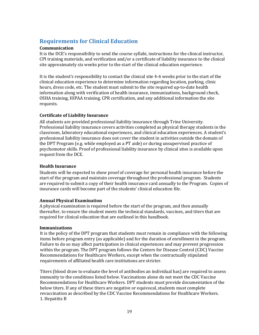# <span id="page-20-0"></span>**Requirements for Clinical Education**

### <span id="page-20-1"></span>**Communication**

It is the DCE's responsibility to send the course syllabi, instructions for the clinical instructor, CPI training materials, and verification and/or a certificate of liability insurance to the clinical site approximately six weeks prior to the start of the clinical education experience.

It is the student's responsibility to contact the clinical site 4-6 weeks prior to the start of the clinical education experience to determine information regarding location, parking, clinic hours, dress code, etc. The student must submit to the site required up-to-date health information along with verification of health insurance, immunizations, background check, OSHA training, HIPAA training, CPR certification, and any additional information the site requests.

### <span id="page-20-2"></span>**Certificate of Liability Insurance**

All students are provided professional liability insurance through Trine University. Professional liability insurance covers activities completed as physical therapy students in the classroom, laboratory educational experiences, and clinical education experiences. A student's professional liability insurance does not cover the student in activities outside the domain of the DPT Program (e.g. while employed as a PT aide) or during unsupervised practice of psychomotor skills. Proof of professional liability insurance by clinical sites is available upon request from the DCE.

### <span id="page-20-3"></span>**Health Insurance**

Students will be expected to show proof of coverage for personal health insurance before the start of the program and maintain coverage throughout the professional program. Students are required to submit a copy of their health insurance card annually to the Program. Copies of insurance cards will become part of the students' clinical education file.

### **Annual Physical Examination**

A physical examination is required before the start of the program, and then annually thereafter, to ensure the student meets the technical standards, vaccines, and titers that are required for clinical education that are outlined in this handbook.

### <span id="page-20-4"></span>**Immunizations**

It is the policy of the DPT program that students must remain in compliance with the following items before program entry (as applicable) and for the duration of enrollment in the program. Failure to do so may affect participation in clinical experiences and may prevent progression within the program. The DPT program follows the Centers for Disease Control (CDC) Vaccine Recommendations for Healthcare Workers, except when the contractually stipulated requirements of affiliated health care institutions are stricter.

Titers (blood draw to evaluate the level of antibodies an individual has) are required to assess immunity to the conditions listed below. Vaccinations alone do not meet the CDC Vaccine Recommendations for Healthcare Workers. DPT students must provide documentation of the below titers. If any of these titers are negative or equivocal, students must complete revaccination as described by the CDC Vaccine Recommendations for Healthcare Workers. 1. Hepatitis B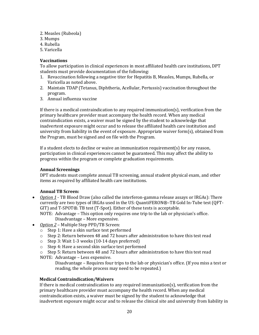- 2. Measles (Rubeola)
- 3. Mumps
- 4. Rubella
- 5. Varicella

### **Vaccinations**

To allow participation in clinical experiences in most affiliated health care institutions, DPT students must provide documentation of the following:

- 1. Revaccination following a negative titer for Hepatitis B, Measles, Mumps, Rubella, or Varicella as noted above.
- 2. Maintain TDAP (Tetanus, Diphtheria, Acellular, Pertussis) vaccination throughout the program.
- 3. Annual influenza vaccine

If there is a medical contraindication to any required immunization(s), verification from the primary healthcare provider must accompany the health record. When any medical contraindication exists, a waiver must be signed by the student to acknowledge that inadvertent exposure might occur and to release the affiliated health care institution and university from liability in the event of exposure. Appropriate waiver form(s), obtained from the Program, must be signed and on file with the Program.

If a student elects to decline or waive an immunization requirement(s) for any reason, participation in clinical experiences cannot be guaranteed. This may affect the ability to progress within the program or complete graduation requirements.

### **Annual Screenings**

DPT students must complete annual TB screening, annual student physical exam, and other items as required by affiliated health care institutions.

### **Annual TB Screen:**

• *Option 1* - TB Blood Draw (also called the interferon-gamma release assays or IRGAs): There currently are two types of IRGAs used in the US: QuantiFERON®–TB Gold In-Tube test (QFT-GIT) and T-SPOT®. TB test (T-Spot). Either of these tests is acceptable.

NOTE: Advantage – This option only requires one trip to the lab or physician's office. Disadvantage – More expensive.

- *Option 2* Multiple Step PPD/TB Screen:
	- o Step 1: Have a skin surface test performed
	- o Step 2: Return between 48 and 72 hours after administration to have this test read
	- o Step 3: Wait 1-3 weeks (10-14 days preferred)
	- o Step 4: Have a second skin surface test performed

 $\circ$  Step 5: Return between 48 and 72 hours after administration to have this test read

NOTE: Advantage – Less expensive.

Disadvantage – Requires four trips to the lab or physician's office. (If you miss a test or reading, the whole process may need to be repeated.)

### <span id="page-21-0"></span>**Medical Contraindication/Waivers**

If there is medical contraindication to any required immunization(s), verification from the primary healthcare provider must accompany the health record. When any medical contraindication exists, a waiver must be signed by the student to acknowledge that inadvertent exposure might occur and to release the clinical site and university from liability in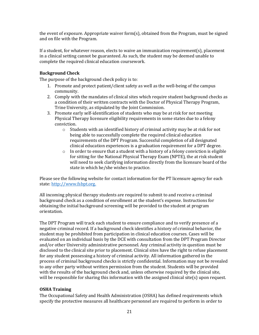the event of exposure. Appropriate waiver form(s), obtained from the Program, must be signed and on file with the Program.

If a student, for whatever reason, elects to waive an immunization requirement(s), placement in a clinical setting cannot be guaranteed. As such, the student may be deemed unable to complete the required clinical education coursework.

### <span id="page-22-0"></span>**Background Check**

The purpose of the background check policy is to:

- 1. Promote and protect patient/client safety as well as the well-being of the campus community.
- 2. Comply with the mandates of clinical sites which require student background checks as a condition of their written contracts with the Doctor of Physical Therapy Program, Trine University, as stipulated by the Joint Commission.
- 3. Promote early self-identification of students who may be at risk for not meeting Physical Therapy licensure eligibility requirements in some states due to a felony conviction.
	- $\circ$  Students with an identified history of criminal activity may be at risk for not being able to successfully complete the required clinical education requirements of the DPT Program. Successful completion of all designated clinical education experiences is a graduation requirement for a DPT degree.
	- $\circ$  In order to ensure that a student with a history of a felony conviction is eligible for sitting for the National Physical Therapy Exam (NPTE), the at risk student will need to seek clarifying information directly from the licensure board of the state in which he/she wishes to practice.

Please see the following website for contact information for the PT licensure agency for each state: [http://www.fsbpt.org.](http://www.fsbpt.org/)

All incoming physical therapy students are required to submit to and receive a criminal background check as a condition of enrollment at the student's expense. Instructions for obtaining the initial background screening will be provided to the student at program orientation.

The DPT Program will track each student to ensure compliance and to verify presence of a negative criminal record. If a background check identifies a history of criminal behavior, the student may be prohibited from participation in clinical education courses. Cases will be evaluated on an individual basis by the DCE with consultation from the DPT Program Director and/or other University administrative personnel. Any criminal activity in question must be disclosed to the clinical site prior to placement. Clinical sites have the right to refuse placement for any student possessing a history of criminal activity. All information gathered in the process of criminal background checks is strictly confidential. Information may not be revealed to any other party without written permission from the student. Students will be provided with the results of the background check and, unless otherwise required by the clinical site, will be responsible for sharing this information with the assigned clinical site(s) upon request.

### <span id="page-22-1"></span>**OSHA Training**

The Occupational Safety and Health Administration (OSHA) has defined requirements which specify the protective measures all healthcare personnel are required to perform in order to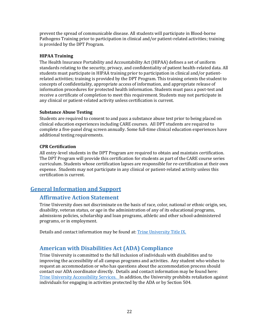prevent the spread of communicable disease. All students will participate in Blood-borne Pathogens Training prior to participation in clinical and/or patient-related activities; training is provided by the DPT Program.

### <span id="page-23-0"></span>**HIPAA Training**

The Health Insurance Portability and Accountability Act (HIPAA) defines a set of uniform standards relating to the security, privacy, and confidentiality of patient health-related data. All students must participate in HIPAA training prior to participation in clinical and/or patientrelated activities; training is provided by the DPT Program. This training orients the student to concepts of confidentiality, appropriate access of information, and appropriate release of information procedures for protected health information. Students must pass a post-test and receive a certificate of completion to meet this requirement. Students may not participate in any clinical or patient-related activity unless certification is current.

### <span id="page-23-1"></span>**Substance Abuse Testing**

Students are required to consent to and pass a substance abuse test prior to being placed on clinical education experiences including CARE courses. All DPT students are required to complete a five-panel drug screen annually. Some full-time clinical education experiences have additional testing requirements.

### <span id="page-23-2"></span>**CPR Certification**

All entry-level students in the DPT Program are required to obtain and maintain certification. The DPT Program will provide this certification for students as part of the CARE course series curriculum. Students whose certification lapses are responsible for re-certification at their own expense. Students may not participate in any clinical or patient-related activity unless this certification is current.

# <span id="page-23-4"></span><span id="page-23-3"></span>**General Information and Support**

# **Affirmative Action Statement**

Trine University does not discriminate on the basis of race, color, national or ethnic origin, sex, disability, veteran status, or age in the administration of any of its educational programs, admissions policies, scholarship and loan programs, athletic and other school-administered programs, or in employment.

Details and contact information may be found at: [Trine University Title IX.](https://www.trine.edu/about/titleix/index.aspx)

# <span id="page-23-5"></span>**American with Disabilities Act (ADA) Compliance**

Trine University is committed to the full inclusion of individuals with disabilities and to improving the accessibility of all campus programs and activities. Any student who wishes to request an accommodation or who has questions about the accommodation process should contact our ADA coordinator directly. Details and contact information may be found here: [Trine University Accessibility Services.](https://www.trine.edu/campus-life/health-wellness/disability-services.aspx) In addition, the University prohibits retaliation against individuals for engaging in activities protected by the ADA or by Section 504.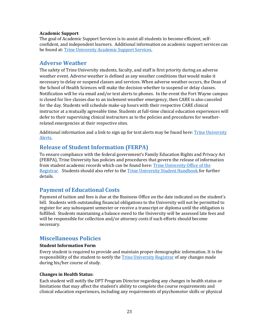#### <span id="page-24-0"></span>**Academic Support**

The goal of Academic Support Services is to assist all students to become efficient, selfconfident, and independent learners. Additional information on academic support services can be found at[: Trine University Academic Support Services.](https://www.trine.edu/academics/success/disability-accommodations.aspx)

### <span id="page-24-1"></span>**Adverse Weather**

The safety of Trine University students, faculty, and staff is first priority during an adverse weather event. Adverse weather is defined as any weather conditions that would make it necessary to delay or suspend classes and services. When adverse weather occurs, the Dean of the School of Health Sciences will make the decision whether to suspend or delay classes. Notification will be via email and/or text alerts to phones. In the event the Fort Wayne campus is closed for live classes due to an inclement weather emergency, then CARE is also canceled for the day. Students will schedule make-up hours with their respective CARE clinical instructor at a mutually agreeable time. Students at full-time clinical education experiences will defer to their supervising clinical instructors as to the policies and procedures for weatherrelated emergencies at their respective sites.

Additional information and a link to sign up for text alerts may be found here: Trine University [Alerts.](https://trine.edu/alerts/)

# <span id="page-24-2"></span>**Release of Student Information (FERPA)**

To ensure compliance with the federal government's Family Education Rights and Privacy Act (FERPA), Trine University has policies and procedures that govern the release of information from student academic records which can be found here: [Trine University Office of the](https://www.trine.edu/resources/registrar/index.aspx/ferpa.aspx)  [Registrar.](https://www.trine.edu/resources/registrar/index.aspx/ferpa.aspx) Students should also refer to the [Trine University Student Handbook](https://www.trine.edu/campus-life/) for further details.

# <span id="page-24-3"></span>**Payment of Educational Costs**

Payment of tuition and fees is due at the Business Office on the date indicated on the student's bill. Students with outstanding financial obligations to the University will not be permitted to register for any subsequent semester or receive a transcript or diploma until the obligation is fulfilled. Students maintaining a balance owed to the University will be assessed late fees and will be responsible for collection and/or attorney costs if such efforts should become necessary.

# <span id="page-24-4"></span>**Miscellaneous Policies**

### <span id="page-24-5"></span>**Student Information Form**

Every student is required to provide and maintain proper demographic information. It is the responsibility of the student to notify the [Trine University Registrar](https://trine.edu/resources/registrar/contact-us.aspx) of any changes made during his/her course of study.

### <span id="page-24-6"></span>**Changes in Health Status:**

Each student will notify the DPT Program Director regarding any changes in health status or limitations that may affect the student's ability to complete the course requirements and clinical education experiences, including any requirements of psychomotor skills or physical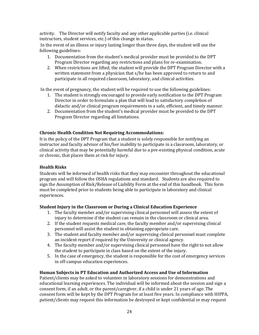activity. The Director will notify faculty and any other applicable parties (i.e. clinical instructors, student services, etc.) of this change in status.

In the event of an illness or injury lasting longer than three days, the student will use the following guidelines:

- 1. Documentation from the student's medical provider must be provided to the DPT Program Director regarding any restrictions and plans for re-examination.
- 2. When restrictions are lifted, the student will provide the DPT Program Director with a written statement from a physician that s/he has been approved to return to and participate in all required classroom, laboratory, and clinical activities.

In the event of pregnancy, the student will be required to use the following guidelines:

- 1. The student is strongly encouraged to provide early notification to the DPT Program Director in order to formulate a plan that will lead to satisfactory completion of didactic and/or clinical program requirements in a safe, efficient, and timely manner.
- 2. Documentation from the student's medical provider must be provided to the DPT Program Director regarding all limitations.

### <span id="page-25-0"></span>**Chronic Health Condition Not Requiring Accommodations:**

It is the policy of the DPT Program that a student is solely responsible for notifying an instructor and faculty advisor of his/her inability to participate in a classroom, laboratory, or clinical activity that may be potentially harmful due to a pre-existing physical condition, acute or chronic, that places them at risk for injury.

### <span id="page-25-1"></span>**Health Risks**

Students will be informed of health risks that they may encounter throughout the educational program and will follow the OSHA regulations and standard. Students are also required to sign the Assumption of Risk/Release of Liability Form at the end of this handbook. This form must be completed prior to students being able to participate in laboratory and clinical experiences.

### <span id="page-25-2"></span>**Student Injury in the Classroom or During a Clinical Education Experience**

- 1. The faculty member and/or supervising clinical personnel will assess the extent of injury to determine if the student can remain in the classroom or clinical area.
- 2. If the student requests medical care, the faculty member and/or supervising clinical personnel will assist the student in obtaining appropriate care.
- 3. The student and faculty member and/or supervising clinical personnel must complete an incident report if required by the University or clinical agency.
- 4. The faculty member and/or supervising clinical personnel have the right to not allow the student to participate in class based on the extent of the injury.
- 5. In the case of emergency, the student is responsible for the cost of emergency services in off-campus education experiences.

### <span id="page-25-3"></span>**Human Subjects in PT Education and Authorized Access and Use of Information**

Patient/clients may be asked to volunteer in laboratory sessions for demonstrations and educational learning experiences. The individual will be informed about the session and sign a consent form, if an adult, or the parent/caregiver, if a child is under 21 years of age. The consent form will be kept by the DPT Program for at least five years. In compliance with HIPPA, patient/clients may request this information be destroyed or kept confidential or may request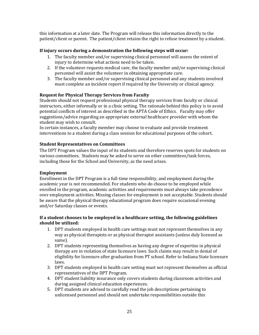this information at a later date. The Program will release this information directly to the patient/client or parent. The patient/client retains the right to refuse treatment by a student.

### **If injury occurs during a demonstration the following steps will occur:**

- 1. The faculty member and/or supervising clinical personnel will assess the extent of injury to determine what actions need to be taken.
- 2. If the volunteer requests medical care, the faculty member and/or supervising clinical personnel will assist the volunteer in obtaining appropriate care.
- 3. The faculty member and/or supervising clinical personnel and any students involved must complete an incident report if required by the University or clinical agency.

### **Request for Physical Therapy Services from Faculty**

Students should not request professional physical therapy services from faculty or clinical instructors, either informally or in a clinic setting. The rationale behind this policy is to avoid potential conflicts of interest as described in the APTA Code of Ethics. Faculty may offer suggestions/advice regarding an appropriate external healthcare provider with whom the student may wish to consult.

In certain instances, a faculty member may choose to evaluate and provide treatment interventions to a student during a class session for educational purposes of the cohort.

### <span id="page-26-0"></span>**Student Representatives on Committees**

The DPT Program values the input of its students and therefore reserves spots for students on various committees. Students may be asked to serve on other committees/task forces, including those for the School and University, as the need arises.

### <span id="page-26-1"></span>**Employment**

Enrollment in the DPT Program is a full-time responsibility, and employment during the academic year is not recommended. For students who do choose to be employed while enrolled in the program, academic activities and requirements must always take precedence over employment activities. Missing classes for employment is not acceptable. Students should be aware that the physical therapy educational program does require occasional evening and/or Saturday classes or events.

### **If a student chooses to be employed in a healthcare setting, the following guidelines should be utilized:**

- 1. DPT students employed in health care settings must not represent themselves in any way as physical therapists or as physical therapist assistants (unless duly licensed as same).
- 2. DPT students representing themselves as having any degree of expertise in physical therapy are in violation of state licensure laws. Such claims may result in denial of eligibility for licensure after graduation from PT school. Refer to Indiana State licensure laws.
- 3. DPT students employed in health care setting must not represent themselves as official representatives of the DPT Program.
- 4. DPT student liability insurance only covers students during classroom activities and during assigned clinical education experiences.
- 5. DPT students are advised to carefully read the job descriptions pertaining to unlicensed personnel and should not undertake responsibilities outside this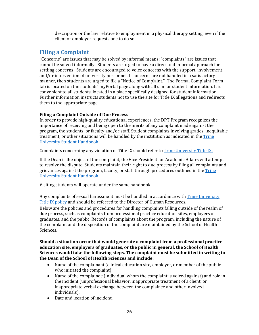description or the law relative to employment in a physical therapy setting, even if the client or employer requests one to do so.

# <span id="page-27-0"></span>**Filing a Complaint**

"Concerns" are issues that may be solved by informal means; "complaints" are issues that cannot be solved informally. Students are urged to have a direct and informal approach for settling concerns. Students are encouraged to voice concerns with the support, involvement, and/or intervention of university personnel. If concerns are not handled in a satisfactory manner, then students are urged to file a "Notice of Complaint." The Formal Complaint Form tab is located on the students' myPortal page along with all similar student information. It is convenient to all students, located in a place specifically designed for student information. Further information instructs students not to use the site for Title IX allegations and redirects them to the appropriate page.

### <span id="page-27-1"></span>**Filing a Complaint Outside of Due Process**

In order to provide high-quality educational experiences, the DPT Program recognizes the importance of receiving and being open to the merits of any complaint made against the program, the students, or faculty and/or staff. Student complaints involving grades, inequitable treatment, or other situations will be handled by the institution as indicated in th[e Trine](https://www.trine.edu/campus-life/)  [University Student Handbook](https://www.trine.edu/campus-life/) .

Complaints concerning any violation of Title IX should refer to [Trine University Title IX.](https://trine.edu/about/titleix/index.aspx)

If the Dean is the object of the complaint, the Vice President for Academic Affairs will attempt to resolve the dispute. Students maintain their right to due process by filing all complaints and grievances against the program, faculty, or staff through procedures outlined in the [Trine](https://www.trine.edu/campus-life/)  [University Student Handbook](https://www.trine.edu/campus-life/)

Visiting students will operate under the same handbook.

Any complaints of sexual harassment must be handled in accordance with [Trine University](https://trine.edu/about/titleix/index.aspx)  [Title IX policy](https://trine.edu/about/titleix/index.aspx) and should be referred to the Director of Human Resources. Below are the policies and procedures for handling complaints falling outside of the realm of due process, such as complaints from professional practice education sites, employers of graduates, and the public. Records of complaints about the program, including the nature of the complaint and the disposition of the complaint are maintained by the School of Health Sciences.

**Should a situation occur that would generate a complaint from a professional practice education site, employers of graduates, or the public in general, the School of Health Sciences would take the following steps. The complaint must be submitted in writing to the Dean of the School of Health Sciences and include:** 

- Name of the complainant (clinical education site, employer, or member of the public who initiated the complaint)
- Name of the complainee (individual whom the complaint is voiced against) and role in the incident (unprofessional behavior, inappropriate treatment of a client, or inappropriate verbal exchange between the complainee and other involved individuals).
- Date and location of incident.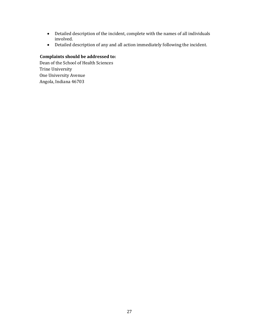- Detailed description of the incident, complete with the names of all individuals involved.
- Detailed description of any and all action immediately following the incident.

# **Complaints should be addressed to:**

Dean of the School of Health Sciences Trine University One University Avenue Angola, Indiana 46703